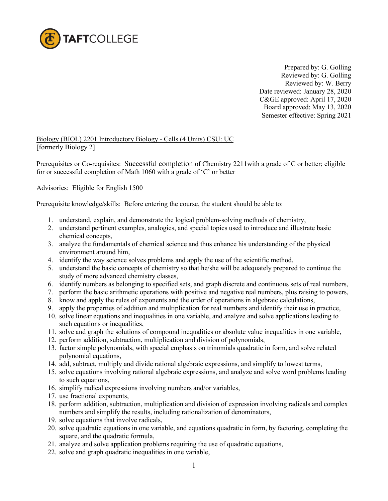

 Prepared by: G. Golling Reviewed by: G. Golling Reviewed by: W. Berry Date reviewed: January 28, 2020 C&GE approved: April 17, 2020 Board approved: May 13, 2020 Semester effective: Spring 2021

Biology (BIOL) 2201 Introductory Biology - Cells (4 Units) CSU: UC [formerly Biology 2]

Prerequisites or Co-requisites:Successful completion of Chemistry 2211with a grade of C or better; eligible for or successful completion of Math 1060 with a grade of 'C' or better

Advisories: Eligible for English 1500

Prerequisite knowledge/skills: Before entering the course, the student should be able to:

- 1. understand, explain, and demonstrate the logical problem-solving methods of chemistry,
- 2. understand pertinent examples, analogies, and special topics used to introduce and illustrate basic chemical concepts,
- 3. analyze the fundamentals of chemical science and thus enhance his understanding of the physical environment around him,
- 4. identify the way science solves problems and apply the use of the scientific method,
- 5. understand the basic concepts of chemistry so that he/she will be adequately prepared to continue the study of more advanced chemistry classes,
- 6. identify numbers as belonging to specified sets, and graph discrete and continuous sets of real numbers,
- 7. perform the basic arithmetic operations with positive and negative real numbers, plus raising to powers,
- 8. know and apply the rules of exponents and the order of operations in algebraic calculations,
- 9. apply the properties of addition and multiplication for real numbers and identify their use in practice,
- 10. solve linear equations and inequalities in one variable, and analyze and solve applications leading to such equations or inequalities,
- 11. solve and graph the solutions of compound inequalities or absolute value inequalities in one variable,
- 12. perform addition, subtraction, multiplication and division of polynomials,
- 13. factor simple polynomials, with special emphasis on trinomials quadratic in form, and solve related polynomial equations,
- 14. add, subtract, multiply and divide rational algebraic expressions, and simplify to lowest terms,
- 15. solve equations involving rational algebraic expressions, and analyze and solve word problems leading to such equations,
- 16. simplify radical expressions involving numbers and/or variables,
- 17. use fractional exponents,
- 18. perform addition, subtraction, multiplication and division of expression involving radicals and complex numbers and simplify the results, including rationalization of denominators,
- 19. solve equations that involve radicals,
- 20. solve quadratic equations in one variable, and equations quadratic in form, by factoring, completing the square, and the quadratic formula,
- 21. analyze and solve application problems requiring the use of quadratic equations,
- 22. solve and graph quadratic inequalities in one variable,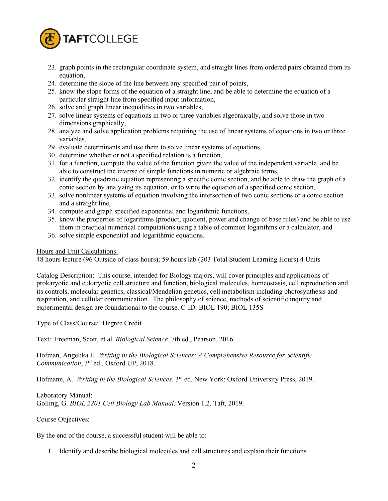

- 23. graph points in the rectangular coordinate system, and straight lines from ordered pairs obtained from its equation,
- 24. determine the slope of the line between any specified pair of points,
- 25. know the slope forms of the equation of a straight line, and be able to determine the equation of a particular straight line from specified input information,
- 26. solve and graph linear inequalities in two variables,
- 27. solve linear systems of equations in two or three variables algebraically, and solve those in two dimensions graphically,
- 28. analyze and solve application problems requiring the use of linear systems of equations in two or three variables,
- 29. evaluate determinants and use them to solve linear systems of equations,
- 30. determine whether or not a specified relation is a function,
- 31. for a function, compute the value of the function given the value of the independent variable, and be able to construct the inverse of simple functions in numeric or algebraic terms,
- 32. identify the quadratic equation representing a specific conic section, and be able to draw the graph of a conic section by analyzing its equation, or to write the equation of a specified conic section,
- 33. solve nonlinear systems of equation involving the intersection of two conic sections or a conic section and a straight line,
- 34. compute and graph specified exponential and logarithmic functions,
- 35. know the properties of logarithms (product, quotient, power and change of base rules) and be able to use them in practical numerical computations using a table of common logarithms or a calculator, and
- 36. solve simple exponential and logarithmic equations.

## Hours and Unit Calculations:

48 hours lecture (96 Outside of class hours); 59 hours lab (203 Total Student Learning Hours) 4 Units

Catalog Description: This course, intended for Biology majors, will cover principles and applications of prokaryotic and eukaryotic cell structure and function, biological molecules, homeostasis, cell reproduction and its controls, molecular genetics, classical/Mendelian genetics, cell metabolism including photosynthesis and respiration, and cellular communication. The philosophy of science, methods of scientific inquiry and experimental design are foundational to the course. C-ID: BIOL 190; BIOL 135S

Type of Class/Course: Degree Credit

Text: Freeman, Scott, et al. *Biological Science.* 7th ed., Pearson, 2016.

Hofman, Angelika H. *Writing in the Biological Sciences: A Comprehensive Resource for Scientific Communication*, 3rd ed., Oxford UP, 2018.

Hofmann, A. *Writing in the Biological Sciences*. 3rd ed. New York: Oxford University Press, 2019.

Laboratory Manual: Golling, G. *BIOL 2201 Cell Biology Lab Manual*. Version 1.2. Taft, 2019.

Course Objectives:

By the end of the course, a successful student will be able to:

1. Identify and describe biological molecules and cell structures and explain their functions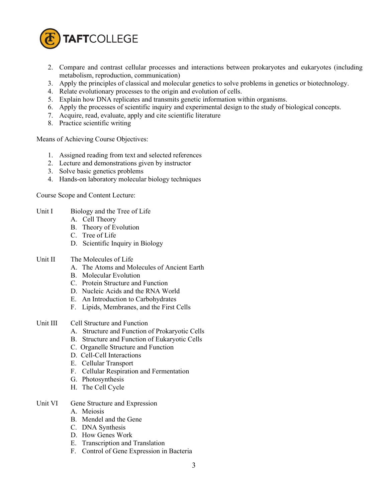

- 2. Compare and contrast cellular processes and interactions between prokaryotes and eukaryotes (including metabolism, reproduction, communication)
- 3. Apply the principles of classical and molecular genetics to solve problems in genetics or biotechnology.
- 4. Relate evolutionary processes to the origin and evolution of cells.
- 5. Explain how DNA replicates and transmits genetic information within organisms.
- 6. Apply the processes of scientific inquiry and experimental design to the study of biological concepts.
- 7. Acquire, read, evaluate, apply and cite scientific literature
- 8. Practice scientific writing

Means of Achieving Course Objectives:

- 1. Assigned reading from text and selected references
- 2. Lecture and demonstrations given by instructor
- 3. Solve basic genetics problems
- 4. Hands-on laboratory molecular biology techniques

Course Scope and Content Lecture:

- Unit I Biology and the Tree of Life
	- A. Cell Theory
	- B. Theory of Evolution
	- C. Tree of Life
	- D. Scientific Inquiry in Biology
- Unit II The Molecules of Life
	- A. The Atoms and Molecules of Ancient Earth
	- B. Molecular Evolution
	- C. Protein Structure and Function
	- D. Nucleic Acids and the RNA World
	- E. An Introduction to Carbohydrates
	- F. Lipids, Membranes, and the First Cells
- Unit III Cell Structure and Function
	- A. Structure and Function of Prokaryotic Cells
	- B. Structure and Function of Eukaryotic Cells
	- C. Organelle Structure and Function
	- D. Cell-Cell Interactions
	- E. Cellular Transport
	- F. Cellular Respiration and Fermentation
	- G. Photosynthesis
	- H. The Cell Cycle
- Unit VI Gene Structure and Expression
	- A. Meiosis
	- B. Mendel and the Gene
	- C. DNA Synthesis
	- D. How Genes Work
	- E. Transcription and Translation
	- F. Control of Gene Expression in Bacteria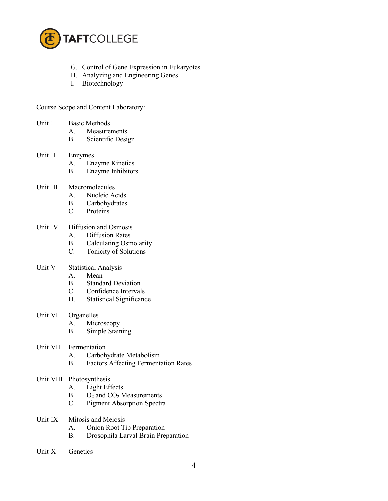

- G. Control of Gene Expression in Eukaryotes
- H. Analyzing and Engineering Genes
- I. Biotechnology

Course Scope and Content Laboratory:

- Unit I Basic Methods
	- A. Measurements
	- B. Scientific Design

#### Unit II Enzymes

- A. Enzyme Kinetics
- B. Enzyme Inhibitors
- Unit III Macromolecules
	- A. Nucleic Acids
	- B. Carbohydrates
	- C. Proteins

# Unit IV Diffusion and Osmosis

- A. Diffusion Rates
- B. Calculating Osmolarity
- C. Tonicity of Solutions

#### Unit V Statistical Analysis

- A. Mean
- B. Standard Deviation
- C. Confidence Intervals
- D. Statistical Significance

# Unit VI Organelles

- A. Microscopy
- B. Simple Staining
- Unit VII Fermentation
	- A. Carbohydrate Metabolism
	- B. Factors Affecting Fermentation Rates

#### Unit VIII Photosynthesis

- A. Light Effects
- B.  $O_2$  and  $CO_2$  Measurements
- C. Pigment Absorption Spectra
- Unit IX Mitosis and Meiosis
	- A. Onion Root Tip Preparation
	- B. Drosophila Larval Brain Preparation
- Unit X Genetics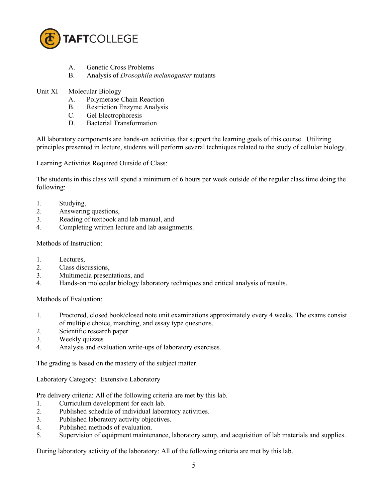

- A. Genetic Cross Problems
- B. Analysis of *Drosophila melanogaster* mutants
- Unit XI Molecular Biology
	- A. Polymerase Chain Reaction
	- B. Restriction Enzyme Analysis
	- C. Gel Electrophoresis
	- D. Bacterial Transformation

All laboratory components are hands-on activities that support the learning goals of this course. Utilizing principles presented in lecture, students will perform several techniques related to the study of cellular biology.

Learning Activities Required Outside of Class:

The students in this class will spend a minimum of 6 hours per week outside of the regular class time doing the following:

- 1. Studying,
- 2. Answering questions,
- 3. Reading of textbook and lab manual, and
- 4. Completing written lecture and lab assignments.

### Methods of Instruction:

- 1. Lectures,
- 2. Class discussions,
- 3. Multimedia presentations, and
- 4. Hands-on molecular biology laboratory techniques and critical analysis of results.

Methods of Evaluation:

- 1. Proctored, closed book/closed note unit examinations approximately every 4 weeks. The exams consist of multiple choice, matching, and essay type questions.
- 2. Scientific research paper
- 3. Weekly quizzes
- 4. Analysis and evaluation write-ups of laboratory exercises.

The grading is based on the mastery of the subject matter.

Laboratory Category: Extensive Laboratory

Pre delivery criteria: All of the following criteria are met by this lab.

- 1. Curriculum development for each lab.
- 2. Published schedule of individual laboratory activities.
- 3. Published laboratory activity objectives.
- 4. Published methods of evaluation.
- 5. Supervision of equipment maintenance, laboratory setup, and acquisition of lab materials and supplies.

During laboratory activity of the laboratory: All of the following criteria are met by this lab.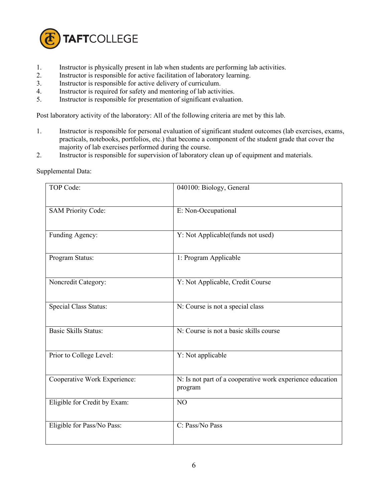

- 1. Instructor is physically present in lab when students are performing lab activities.
- 2. Instructor is responsible for active facilitation of laboratory learning.
- 3. Instructor is responsible for active delivery of curriculum.
- 4. Instructor is required for safety and mentoring of lab activities.
- 5. Instructor is responsible for presentation of significant evaluation.

Post laboratory activity of the laboratory: All of the following criteria are met by this lab.

- 1. Instructor is responsible for personal evaluation of significant student outcomes (lab exercises, exams, practicals, notebooks, portfolios, etc.) that become a component of the student grade that cover the majority of lab exercises performed during the course.
- 2. Instructor is responsible for supervision of laboratory clean up of equipment and materials.

| TOP Code:                    | 040100: Biology, General                                             |
|------------------------------|----------------------------------------------------------------------|
| <b>SAM Priority Code:</b>    | E: Non-Occupational                                                  |
| Funding Agency:              | Y: Not Applicable(funds not used)                                    |
| Program Status:              | 1: Program Applicable                                                |
| Noncredit Category:          | Y: Not Applicable, Credit Course                                     |
| <b>Special Class Status:</b> | N: Course is not a special class                                     |
| <b>Basic Skills Status:</b>  | N: Course is not a basic skills course                               |
| Prior to College Level:      | Y: Not applicable                                                    |
| Cooperative Work Experience: | N: Is not part of a cooperative work experience education<br>program |
| Eligible for Credit by Exam: | N <sub>O</sub>                                                       |
| Eligible for Pass/No Pass:   | C: Pass/No Pass                                                      |

Supplemental Data: